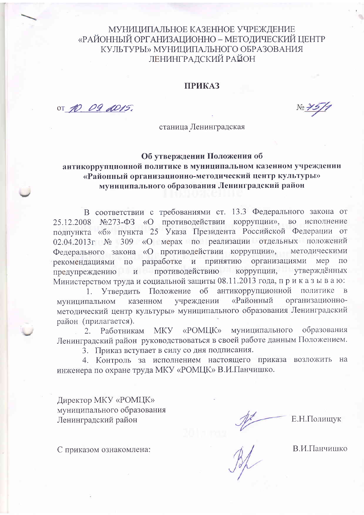### МУНИЦИПАЛЬНОЕ КАЗЕННОЕ УЧРЕЖДЕНИЕ «РАЙОННЫЙ ОРГАНИЗАЦИОННО – МЕТОДИЧЕСКИЙ ЦЕНТР КУЛЬТУРЫ» МУНИЦИПАЛЬНОГО ОБРАЗОВАНИЯ ЛЕНИНГРАДСКИЙ РАЙОН

#### **ПРИКАЗ**

OT 10 09 2015.

No 75/7

станица Ленинградская

### Об утверждении Положения об антикоррупционной политике в муниципальном казенном учреждении «Районный организационно-методический центр культуры» муниципального образования Ленинградский район

В соответствии с требованиями ст. 13.3 Федерального закона от 25.12.2008 №273-ФЗ «О противодействии коррупции», во исполнение подпункта «б» пункта 25 Указа Президента Российской Федерации от 02.04.2013г № 309 «О мерах по реализации отдельных положений Федерального закона «О противодействии коррупции», методическими разработке и принятию организациями мер по рекомендациями  $\overline{10}$ предупреждению и противодействию коррупции, утверждённых Министерством труда и социальной защиты 08.11.2013 года, приказываю:

Положение об антикоррупционной политике в 1. Утвердить «Районный организационноказенном учреждении муниципальном методический центр культуры» муниципального образования Ленинградский район (прилагается).

муниципального образования 2. Работникам MKY «РОМЦК» Ленинградский район руководствоваться в своей работе данным Положением.

3. Приказ вступает в силу со дня подписания.

4. Контроль за исполнением настоящего приказа возложить на инженера по охране труда МКУ «РОМЦК» В.И.Панчишко.

Директор МКУ «РОМЦК» муниципального образования Ленинградский район

Е.Н.Полищук

С приказом ознакомлена:

 $\frac{1}{\beta}$ 

В.И.Панчишко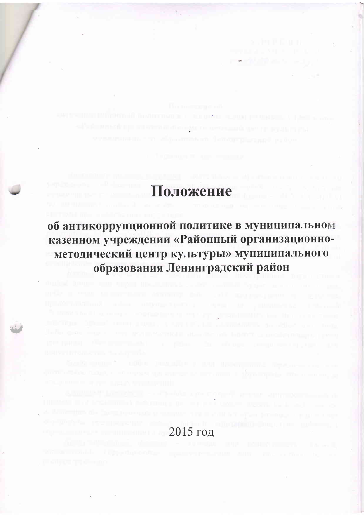## Положение

in distribut to actional use or page.

об антикоррупционной политике в муниципальном казенном учреждении «Районный организационнометодический центр культуры» муниципального образования Ленинградский район

I had I as an experiment the property of the state of the state of the common

**Companies International Companies** 

### $2015$  год

international definitions a process composed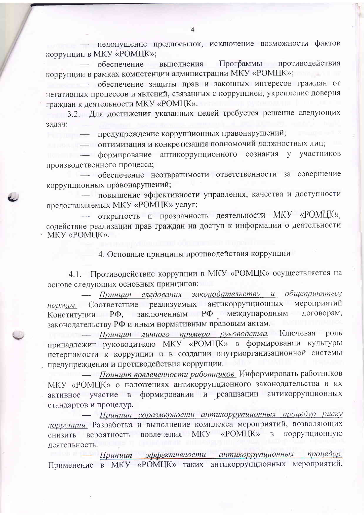нелопушение предпосылок, исключение возможности фактов коррупции в МКУ «РОМЦК»;

— обеспечение выполнения Программы противодействия коррупции в рамках компетенции администрации МКУ «РОМЦК»;

- обеспечение защиты прав и законных интересов граждан от негативных процессов и явлений, связанных с коррупцией, укрепление доверия граждан к деятельности МКУ «РОМЦК».

3.2. Для достижения указанных целей требуется решение следующих задач:

предупреждение коррупционных правонарушений;

- оптимизация и конкретизация полномочий должностных лиц;

полните - формирование антикоррупционного сознания у участников производственного процесса;

обеспечение неотвратимости ответственности за совершение коррупционных правонарушений;

- повышение эффективности управления, качества и доступности предоставляемых МКУ «РОМЦК» услуг;

открытость и прозрачность деятельности МКУ «РОМЦК», содействие реализации прав граждан на доступ к информации о деятельности MKY «POMLIK».

4. Основные принципы противодействия коррупции

4.1. Противодействие коррупции в МКУ «РОМЦК» осуществляется на основе следующих основных принципов:

Принцип следования законодательству и общепринятым нормам. Соответствие реализуемых антикоррупционных мероприятий Конституции РФ, заключенным РФ международным договорам, законодательству РФ и иным нормативным правовым актам.

- Принцип личного примера руководства. Ключевая роль принадлежит руководителю МКУ «РОМЦК» в формировании культуры нетерпимости к коррупции и в создании внутриорганизационной системы предупреждения и противодействия коррупции.

Принции вовлеченности работников. Информировать работников МКУ «РОМЦК» о положениях антикоррупционного законодательства и их активное участие в формировании и реализации антикоррупционных стандартов и процедур.

Принцип соразмерности антикоррупционных процедур риску коррупции. Разработка и выполнение комплекса мероприятий, позволяющих вероятность вовлечения МКУ «РОМЦК»  $\mathbf{B}$ коррупционную снизить деятельность.

- Принцип эффективности антикоррупционных процедур. Применение в МКУ «РОМЦК» таких антикоррупционных мероприятий,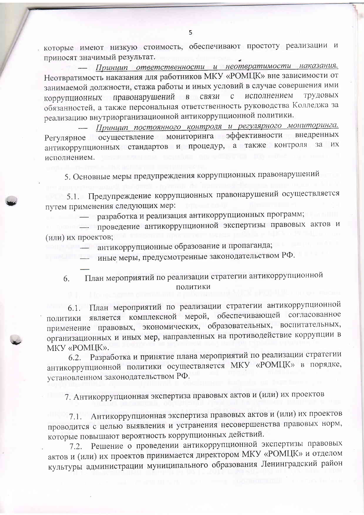которые имеют низкую стоимость, обеспечивают простоту реализации и приносят значимый результат.

Принцип ответственности и неотвратимости наказания. Неотвратимость наказания для работников МКУ «РОМЦК» вне зависимости от занимаемой должности, стажа работы и иных условий в случае совершения ими коррупционных правонарушений в связи исполнением трудовых  $\mathcal{C}$ обязанностей, а также персональная ответственность руководства Колледжа за реализацию внутриорганизационной антикоррупционной политики.

Принцип постоянного контроля и регулярного мониторинга. осуществление мониторинга эффективности внедренных Регулярное антикоррупционных стандартов и процедур, а также контроля за их исполнением.

5. Основные меры предупреждения коррупционных правонарушений

5.1. Предупреждение коррупционных правонарушений осуществляется путем применения следующих мер:

разработка и реализация антикоррупционных программ;

проведение антикоррупционной экспертизы правовых актов и (или) их проектов;

антикоррупционные образование и пропаганда;

иные меры, предусмотренные законодательством РФ.

План мероприятий по реализации стратегии антикоррупционной 6. политики

6.1. План мероприятий по реализации стратегии антикоррупционной является комплексной мерой, обеспечивающей согласованное политики применение правовых, экономических, образовательных, воспитательных, организационных и иных мер, направленных на противодействие коррупции в МКУ «РОМЦК».

Разработка и принятие плана мероприятий по реализации стратегии  $6.2.$ антикоррупционной политики осуществляется МКУ «РОМЦК» в порядке, установленном законодательством РФ.

7. Антикоррупционная экспертиза правовых актов и (или) их проектов

7.1. Антикоррупционная экспертиза правовых актов и (или) их проектов проводится с целью выявления и устранения несовершенства правовых норм, которые повышают вероятность коррупционных действий.

Решение о проведении антикоррупционной экспертизы правовых  $7.2.$ актов и (или) их проектов принимается директором МКУ «РОМЦК» и отделом культуры администрации муниципального образования Ленинградский район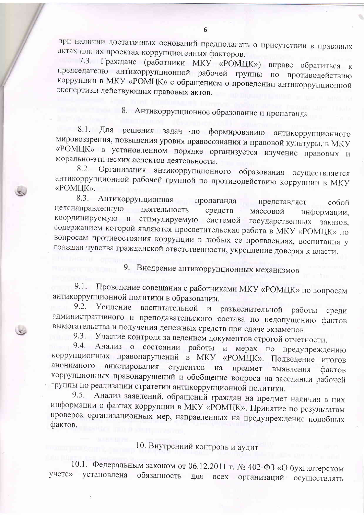при наличии достаточных оснований предполагать о присутствии в правовых актах или их проектах коррупциогенных факторов.

7.3. Граждане (работники МКУ «РОМЦК») вправе обратиться к председателю антикоррупционной рабочей группы по противодействию коррупции в МКУ «РОМЦК» с обращением о проведении антикоррупционной экспертизы действующих правовых актов.

8. Антикоррупционное образование и пропаганда

8.1. Для решения задач по формированию антикоррупционного мировоззрения, повышения уровня правосознания и правовой культуры, в МКУ «РОМЦК» в установленном порядке организуется изучение правовых и морально-этических аспектов деятельности.

8.2. Организация антикоррупционного образования осуществляется антикоррупционной рабочей группой по противодействию коррупции в МКУ «POMLIK».

8.3. Антикоррупционная пропаганда представляет собой целенаправленную деятельность средств массовой информации, координируемую и стимулируемую системой государственных заказов, содержанием которой являются просветительская работа в МКУ «РОМЦК» по вопросам противостояния коррупции в любых ее проявлениях, воспитания у граждан чувства гражданской ответственности, укрепление доверия к власти.

9. Внедрение антикоррупционных механизмов

9.1. Проведение совещания с работниками МКУ «РОМЦК» по вопросам антикоррупционной политики в образовании.

9.2. Усиление воспитательной и разъяснительной работы среди административного и преподавательского состава по недопущению фактов вымогательства и получения денежных средств при сдаче экзаменов.

9.3. Участие контроля за ведением документов строгой отчетности.

9.4. Анализ о состоянии работы и мерах по предупреждению коррупционных правонарушений в МКУ «РОМЦК». Подведение итогов анкетирования студентов на анонимного предмет выявления фактов коррупционных правонарушений и обобщение вопроса на заседании рабочей группы по реализации стратегии антикоррупционной политики.

Анализ заявлений, обращений граждан на предмет наличия в них  $9.5.$ информации о фактах коррупции в МКУ «РОМЦК». Принятие по результатам проверок организационных мер, направленных на предупреждение подобных фактов.

10. Внутренний контроль и аудит

10.1. Федеральным законом от 06.12.2011 г. № 402-ФЗ «О бухгалтерском установлена обязанность для учете» всех организаций осуществлять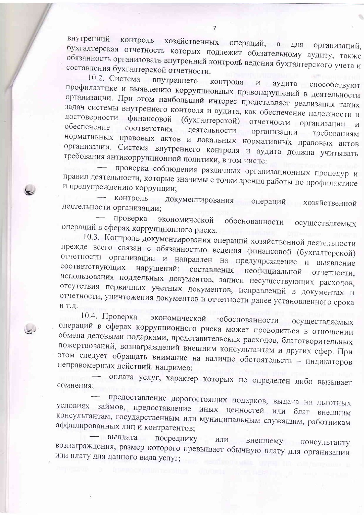внутренний хозяйственных операций, а для организаций, контроль бухгалтерская отчетность которых подлежит обязательному аудиту, также обязанность организовать внутренний контроль ведения бухгалтерского учета и составления бухгалтерской отчетности.

10.2. Система внутреннего контроля  $\boldsymbol{M}$ аудита способствуют профилактике и выявлению коррупционных правонарушений в деятельности организации. При этом наибольший интерес представляет реализация таких задач системы внутреннего контроля и аудита, как обеспечение надежности и достоверности финансовой (бухгалтерской) отчетности организации  $\overline{M}$ обеспечение соответствия деятельности организации требованиям нормативных правовых актов и локальных нормативных правовых актов организации. Система внутреннего контроля и аудита должна учитывать требования антикоррупционной политики, в том числе:

проверка соблюдения различных организационных процедур и правил деятельности, которые значимы с точки зрения работы по профилактике и предупреждению коррупции;

контроль документирования операций хозяйственной деятельности организации;

проверка экономической обоснованности осуществляемых операций в сферах коррупционного риска.

10.3. Контроль документирования операций хозяйственной деятельности прежде всего связан с обязанностью ведения финансовой (бухгалтерской) отчетности организации и направлен на предупреждение и выявление соответствующих нарушений: составления неофициальной отчетности, использования поддельных документов, записи несуществующих расходов, отсутствия первичных учетных документов, исправлений в документах и отчетности, уничтожения документов и отчетности ранее установленного срока ИТ.Д.

10.4. Проверка экономической • обоснованности осуществляемых операций в сферах коррупционного риска может проводиться в отношении обмена деловыми подарками, представительских расходов, благотворительных пожертвований, вознаграждений внешним консультантам и других сфер. При этом следует обращать внимание на наличие обстоятельств - индикаторов неправомерных действий: например:

оплата услуг, характер которых не определен либо вызывает сомнения;

предоставление дорогостоящих подарков, выдача на льготных условиях займов, предоставление иных ценностей или благ внешним консультантам, государственным или муниципальным служащим, работникам аффилированных лиц и контрагентов;

выплата посреднику ИЛИ внешнему консультанту вознаграждения, размер которого превышает обычную плату для организации или плату для данного вида услуг;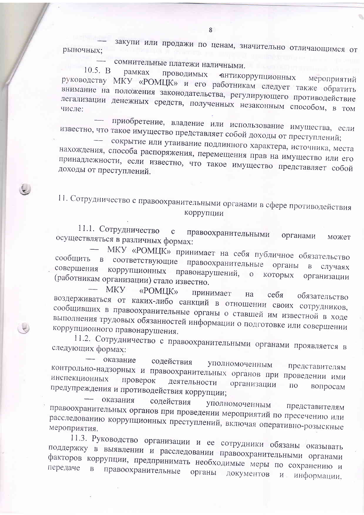закупи или продажи по ценам, значительно отличающимся от рыночных:

сомнительные платежи наличными.  $10.5. B$ 

рамках проводимых антикоррупционных руководству МКУ «РОМЦК» и его работникам следует также обратить мероприятий внимание на положения законодательства, регулирующего противодействие легализации денежных средств, полученных незаконным способом, в том

приобретение, владение или использование имущества, если известно, что такое имущество представляет собой доходы от преступлений;

сокрытие или утаивание подлинного характера, источника, места нахождения, способа распоряжения, перемещения прав на имущество или его принадлежности, если известно, что такое имущество представляет собой доходы от преступлений.

11. Сотрудничество с правоохранительными органами в сфере противодействия коррупции

11.1. Сотрудничество правоохранительными  $\mathbf{C}$ органами осуществляться в различных формах: может

МКУ «РОМЦК» принимает на себя публичное обязательство сообщить в соответствующие правоохранительные органы в случаях совершения коррупционных правонарушений, о которых организации (работникам организации) стало известно.

**MKY** «POMIJK» принимает на себя обязательство воздерживаться от каких-либо санкций в отношении своих сотрудников, сообщивших в правоохранительные органы о ставшей им известной в ходе выполнения трудовых обязанностей информации о подготовке или совершении коррупционного правонарушения.

11.2. Сотрудничество с правоохранительными органами проявляется в следующих формах:

оказание содействия уполномоченным представителям контрольно-надзорных и правоохранительных органов при проведении ими инспекционных проверок деятельности организации предупреждения и противодействия коррупции; ПО вопросам

оказания содействия уполномоченным представителям правоохранительных органов при проведении мероприятий по пресечению или расследованию коррупционных преступлений, включая оперативно-розыскные мероприятия.

11.3. Руководство организации и ее сотрудники обязаны оказывать поддержку в выявлении и расследовании правоохранительными органами факторов коррупции, предпринимать необходимые меры по сохранению и правоохранительные органы документов  $B$  $H$ информации,